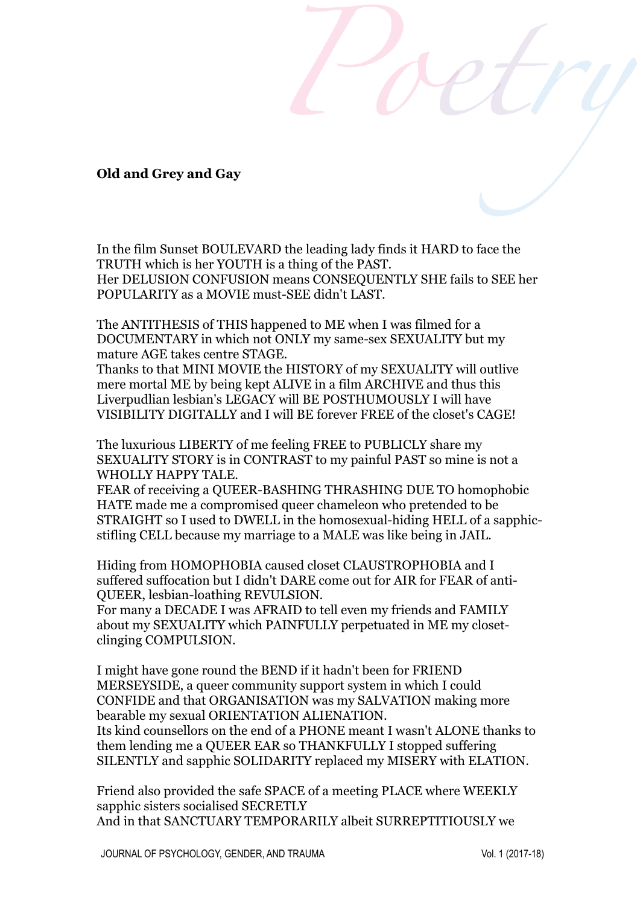## **Old and Grey and Gay**

In the film Sunset BOULEVARD the leading lady finds it HARD to face the TRUTH which is her YOUTH is a thing of the PAST. Her DELUSION CONFUSION means CONSEQUENTLY SHE fails to SEE her POPULARITY as a MOVIE must-SEE didn't LAST.

The ANTITHESIS of THIS happened to ME when I was filmed for a DOCUMENTARY in which not ONLY my same-sex SEXUALITY but my mature AGE takes centre STAGE.

Thanks to that MINI MOVIE the HISTORY of my SEXUALITY will outlive mere mortal ME by being kept ALIVE in a film ARCHIVE and thus this Liverpudlian lesbian's LEGACY will BE POSTHUMOUSLY I will have VISIBILITY DIGITALLY and I will BE forever FREE of the closet's CAGE!

The luxurious LIBERTY of me feeling FREE to PUBLICLY share my SEXUALITY STORY is in CONTRAST to my painful PAST so mine is not a WHOLLY HAPPY TALE.

FEAR of receiving a QUEER-BASHING THRASHING DUE TO homophobic HATE made me a compromised queer chameleon who pretended to be STRAIGHT so I used to DWELL in the homosexual-hiding HELL of a sapphicstifling CELL because my marriage to a MALE was like being in JAIL.

Hiding from HOMOPHOBIA caused closet CLAUSTROPHOBIA and I suffered suffocation but I didn't DARE come out for AIR for FEAR of anti-QUEER, lesbian-loathing REVULSION.

For many a DECADE I was AFRAID to tell even my friends and FAMILY about my SEXUALITY which PAINFULLY perpetuated in ME my closetclinging COMPULSION.

I might have gone round the BEND if it hadn't been for FRIEND MERSEYSIDE, a queer community support system in which I could CONFIDE and that ORGANISATION was my SALVATION making more bearable my sexual ORIENTATION ALIENATION.

Its kind counsellors on the end of a PHONE meant I wasn't ALONE thanks to them lending me a QUEER EAR so THANKFULLY I stopped suffering SILENTLY and sapphic SOLIDARITY replaced my MISERY with ELATION.

Friend also provided the safe SPACE of a meeting PLACE where WEEKLY sapphic sisters socialised SECRETLY And in that SANCTUARY TEMPORARILY albeit SURREPTITIOUSLY we